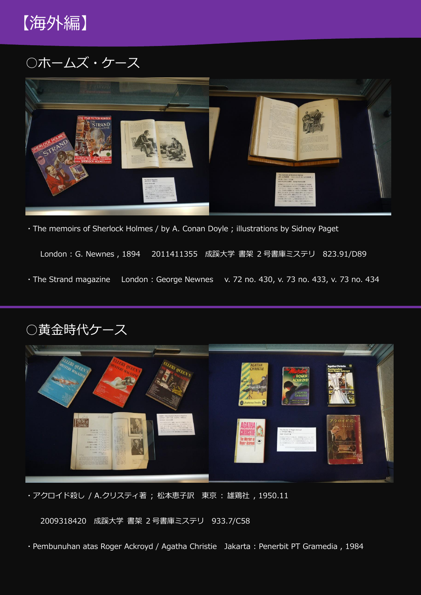

○ホームズ・ケース



・The memoirs of Sherlock Holmes / by A. Conan Doyle ; illustrations by Sidney Paget

London : G. Newnes , 1894 2011411355 成蹊大学 書架 2 号書庫ミステリ 823.91/D89

・The Strand magazine London : George Newnes v. 72 no. 430, v. 73 no. 433, v. 73 no. 434





・アクロイド殺し / A.クリスティ著 ; 松本恵子訳 東京 : 雄鶏社 , 1950.11

2009318420 成蹊大学 書架 2 号書庫ミステリ 933.7/C58

・Pembunuhan atas Roger Ackroyd / Agatha Christie Jakarta : Penerbit PT Gramedia , 1984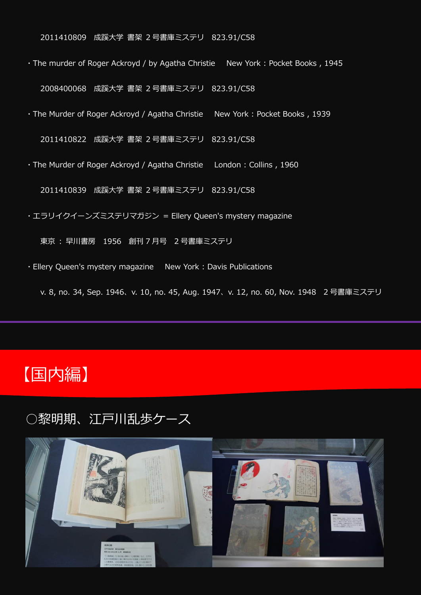2011410809 成蹊大学 書架 2 号書庫ミステリ 823.91/C58

・The murder of Roger Ackroyd / by Agatha Christie New York : Pocket Books , 1945

2008400068 成蹊大学 書架 2 号書庫ミステリ 823.91/C58

・The Murder of Roger Ackroyd / Agatha Christie New York : Pocket Books , 1939

2011410822 成蹊大学 書架 2 号書庫ミステリ 823.91/C58

・The Murder of Roger Ackroyd / Agatha Christie London : Collins , 1960

2011410839 成蹊大学 書架 2 号書庫ミステリ 823.91/C58

・エラリイクイーンズミステリマガジン = Ellery Queen's mystery magazine

東京 : 早川書房 1956 創刊 7 月号 2 号書庫ミステリ

・Ellery Queen's mystery magazine New York : Davis Publications

v. 8, no. 34, Sep. 1946、v. 10, no. 45, Aug. 1947、v. 12, no. 60, Nov. 1948 2 号書庫ミステリ

# 【国内編】

### ○黎明期、江戸川乱歩ケース

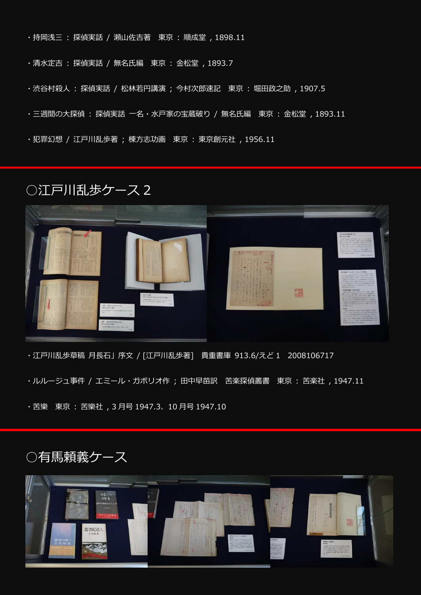- ・持岡浅三 : 探偵実話 / 瀬山佐吉著 東京 : 順成堂 , 1898.11
- ・清水定吉 : 探偵実話 / 無名氏編 東京 : 金松堂 , 1893.7
- ・渋谷村殺人 : 探偵実話 / 松林若円講演 ; 今村次郎速記 東京 : 堀田政之助 , 1907.5
- ・三週間の大探偵 : 探偵実話 一名・水戸家の宝蔵破り / 無名氏編 東京 : 金松堂 , 1893.11
- ・犯罪幻想 / 江戸川乱歩著 ; 棟方志功画 東京 : 東京創元社 , 1956.11

## ○江戸川乱歩ケース 2



・江戸川乱歩草稿 月長石」序文 / [江戸川乱歩著] 貴重書庫 913.6/えど 1 2008106717

- ・ルルージュ事件 / エミール・ガボリオ作 ; 田中早苗訳 苦楽探偵叢書 東京 : 苦楽社 , 1947.11
- ・苦樂 東京 : 苦樂社 , 3 月号 1947.3、10 月号 1947.10

## ○有馬頼義ケース